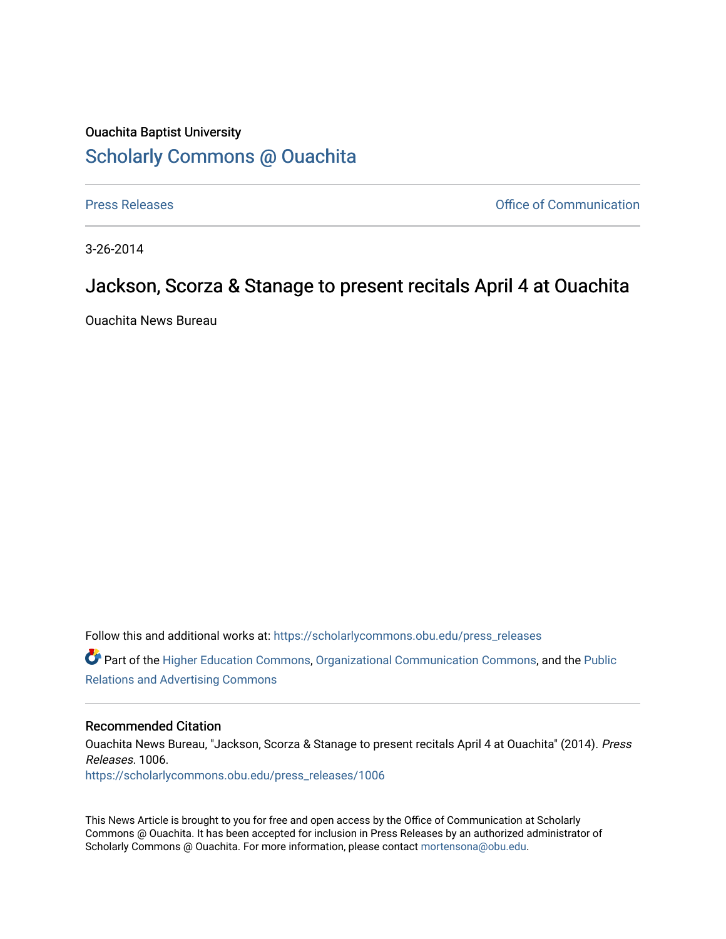## Ouachita Baptist University [Scholarly Commons @ Ouachita](https://scholarlycommons.obu.edu/)

[Press Releases](https://scholarlycommons.obu.edu/press_releases) **Press Releases Communication** 

3-26-2014

## Jackson, Scorza & Stanage to present recitals April 4 at Ouachita

Ouachita News Bureau

Follow this and additional works at: [https://scholarlycommons.obu.edu/press\\_releases](https://scholarlycommons.obu.edu/press_releases?utm_source=scholarlycommons.obu.edu%2Fpress_releases%2F1006&utm_medium=PDF&utm_campaign=PDFCoverPages) Part of the [Higher Education Commons,](http://network.bepress.com/hgg/discipline/1245?utm_source=scholarlycommons.obu.edu%2Fpress_releases%2F1006&utm_medium=PDF&utm_campaign=PDFCoverPages) [Organizational Communication Commons,](http://network.bepress.com/hgg/discipline/335?utm_source=scholarlycommons.obu.edu%2Fpress_releases%2F1006&utm_medium=PDF&utm_campaign=PDFCoverPages) and the [Public](http://network.bepress.com/hgg/discipline/336?utm_source=scholarlycommons.obu.edu%2Fpress_releases%2F1006&utm_medium=PDF&utm_campaign=PDFCoverPages)

[Relations and Advertising Commons](http://network.bepress.com/hgg/discipline/336?utm_source=scholarlycommons.obu.edu%2Fpress_releases%2F1006&utm_medium=PDF&utm_campaign=PDFCoverPages) 

## Recommended Citation

Ouachita News Bureau, "Jackson, Scorza & Stanage to present recitals April 4 at Ouachita" (2014). Press Releases. 1006. [https://scholarlycommons.obu.edu/press\\_releases/1006](https://scholarlycommons.obu.edu/press_releases/1006?utm_source=scholarlycommons.obu.edu%2Fpress_releases%2F1006&utm_medium=PDF&utm_campaign=PDFCoverPages) 

This News Article is brought to you for free and open access by the Office of Communication at Scholarly Commons @ Ouachita. It has been accepted for inclusion in Press Releases by an authorized administrator of Scholarly Commons @ Ouachita. For more information, please contact [mortensona@obu.edu](mailto:mortensona@obu.edu).